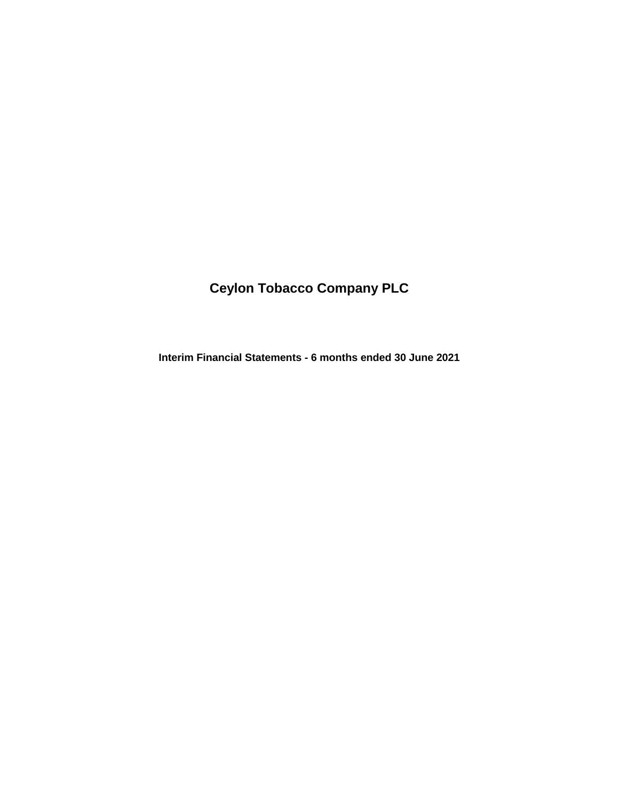# **Ceylon Tobacco Company PLC**

**Interim Financial Statements - 6 months ended 30 June 2021**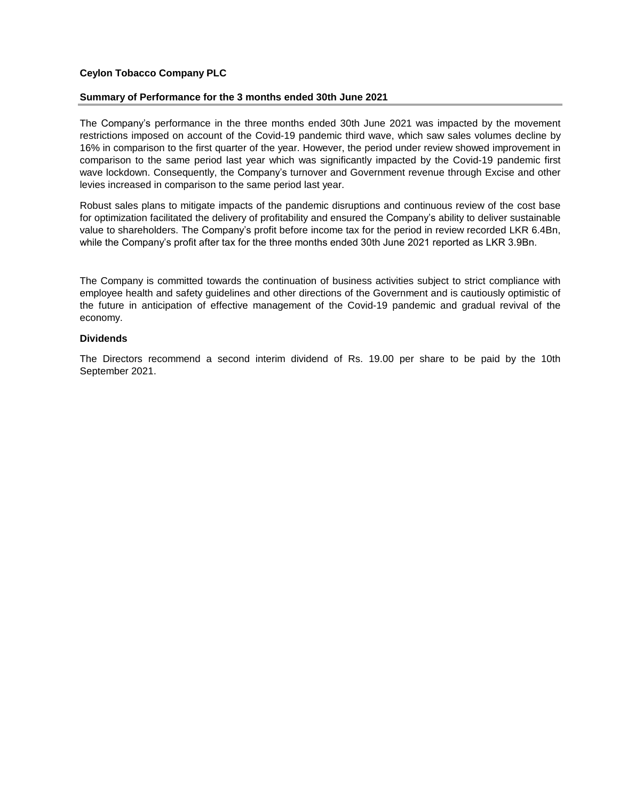### **Ceylon Tobacco Company PLC**

#### **Summary of Performance for the 3 months ended 30th June 2021**

The Company's performance in the three months ended 30th June 2021 was impacted by the movement restrictions imposed on account of the Covid-19 pandemic third wave, which saw sales volumes decline by 16% in comparison to the first quarter of the year. However, the period under review showed improvement in comparison to the same period last year which was significantly impacted by the Covid-19 pandemic first wave lockdown. Consequently, the Company's turnover and Government revenue through Excise and other levies increased in comparison to the same period last year.

Robust sales plans to mitigate impacts of the pandemic disruptions and continuous review of the cost base for optimization facilitated the delivery of profitability and ensured the Company's ability to deliver sustainable value to shareholders. The Company's profit before income tax for the period in review recorded LKR 6.4Bn, while the Company's profit after tax for the three months ended 30th June 2021 reported as LKR 3.9Bn.

The Company is committed towards the continuation of business activities subject to strict compliance with employee health and safety guidelines and other directions of the Government and is cautiously optimistic of the future in anticipation of effective management of the Covid-19 pandemic and gradual revival of the economy.

#### **Dividends**

The Directors recommend a second interim dividend of Rs. 19.00 per share to be paid by the 10th September 2021.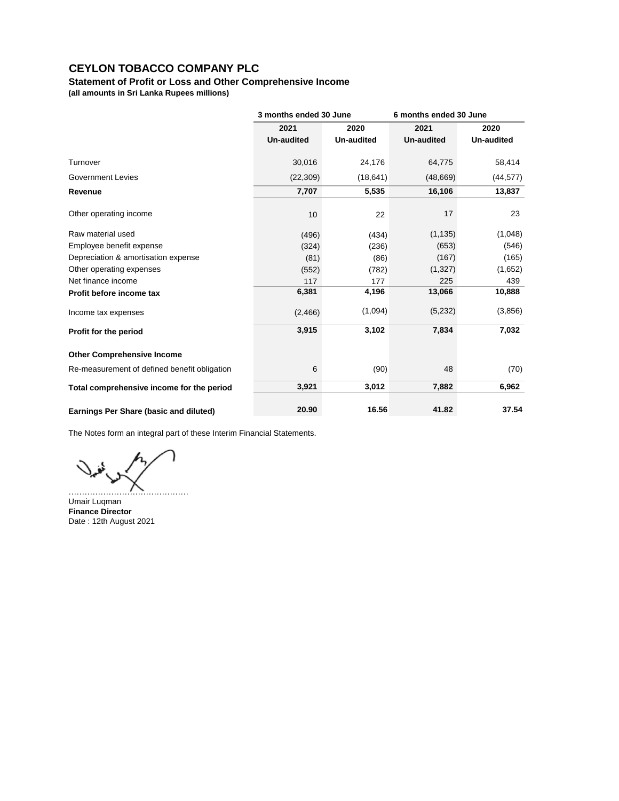## **Statement of Profit or Loss and Other Comprehensive Income**

**(all amounts in Sri Lanka Rupees millions)**

|                                              | 3 months ended 30 June |                   | 6 months ended 30 June |            |
|----------------------------------------------|------------------------|-------------------|------------------------|------------|
|                                              | 2021                   | 2020              | 2021                   | 2020       |
|                                              | <b>Un-audited</b>      | <b>Un-audited</b> | <b>Un-audited</b>      | Un-audited |
| Turnover                                     | 30,016                 | 24,176            | 64,775                 | 58,414     |
| <b>Government Levies</b>                     | (22, 309)              | (18, 641)         | (48, 669)              | (44, 577)  |
| Revenue                                      | 7,707                  | 5,535             | 16,106                 | 13,837     |
| Other operating income                       | 10                     | 22                | 17                     | 23         |
| Raw material used                            | (496)                  | (434)             | (1, 135)               | (1,048)    |
| Employee benefit expense                     | (324)                  | (236)             | (653)                  | (546)      |
| Depreciation & amortisation expense          | (81)                   | (86)              | (167)                  | (165)      |
| Other operating expenses                     | (552)                  | (782)             | (1,327)                | (1,652)    |
| Net finance income                           | 117                    | 177               | 225                    | 439        |
| Profit before income tax                     | 6,381                  | 4,196             | 13,066                 | 10,888     |
| Income tax expenses                          | (2,466)                | (1,094)           | (5,232)                | (3,856)    |
| Profit for the period                        | 3,915                  | 3,102             | 7,834                  | 7,032      |
| <b>Other Comprehensive Income</b>            |                        |                   |                        |            |
| Re-measurement of defined benefit obligation | 6                      | (90)              | 48                     | (70)       |
| Total comprehensive income for the period    | 3,921                  | 3,012             | 7,882                  | 6,962      |
| Earnings Per Share (basic and diluted)       | 20.90                  | 16.56             | 41.82                  | 37.54      |

The Notes form an integral part of these Interim Financial Statements.

………………………………………

Umair Luqman **Finance Director** Date : 12th August 2021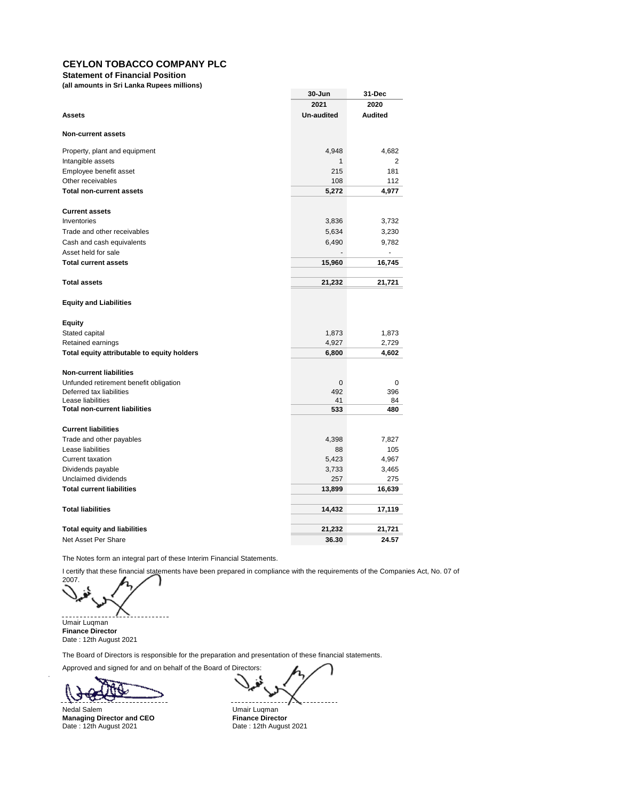**Statement of Financial Position**

**(all amounts in Sri Lanka Rupees millions)**

|                                                           | 30-Jun            | 31-Dec         |
|-----------------------------------------------------------|-------------------|----------------|
|                                                           | 2021              | 2020           |
| <b>Assets</b>                                             | <b>Un-audited</b> | <b>Audited</b> |
| <b>Non-current assets</b>                                 |                   |                |
| Property, plant and equipment                             | 4,948             | 4,682          |
| Intangible assets                                         | 1                 | 2              |
| Employee benefit asset                                    | 215               | 181            |
| Other receivables                                         | 108               | 112            |
| <b>Total non-current assets</b>                           | 5,272             | 4,977          |
| <b>Current assets</b>                                     |                   |                |
| Inventories                                               | 3,836             | 3,732          |
| Trade and other receivables                               | 5,634             | 3,230          |
| Cash and cash equivalents                                 | 6,490             | 9,782          |
| Asset held for sale                                       |                   | ä,             |
| <b>Total current assets</b>                               | 15,960            | 16,745         |
|                                                           |                   |                |
| <b>Total assets</b>                                       | 21,232            | 21,721         |
| <b>Equity and Liabilities</b>                             |                   |                |
| Equity                                                    |                   |                |
| Stated capital                                            | 1,873             | 1,873          |
| Retained earnings                                         | 4,927             | 2,729          |
| Total equity attributable to equity holders               | 6,800             | 4,602          |
| <b>Non-current liabilities</b>                            |                   |                |
| Unfunded retirement benefit obligation                    | 0                 | 0              |
| Deferred tax liabilities                                  | 492               | 396            |
| Lease liabilities<br><b>Total non-current liabilities</b> | 41                | 84             |
|                                                           | 533               | 480            |
| <b>Current liabilities</b>                                |                   |                |
| Trade and other payables                                  | 4,398             | 7,827          |
| Lease liabilities                                         | 88                | 105            |
| <b>Current taxation</b>                                   | 5,423             | 4,967          |
| Dividends payable                                         | 3,733             | 3,465          |
| Unclaimed dividends                                       | 257               | 275            |
| <b>Total current liabilities</b>                          | 13,899            | 16,639         |
| <b>Total liabilities</b>                                  | 14,432            | 17,119         |
| <b>Total equity and liabilities</b>                       | 21,232            | 21,721         |
| Net Asset Per Share                                       | 36.30             | 24.57          |

The Notes form an integral part of these Interim Financial Statements.

I certify that these financial statements have been prepared in compliance with the requirements of the Companies Act, No. 07 of

2007.

Umair Luqman **Finance Director** Date : 12th August 2021

The Board of Directors is responsible for the preparation and presentation of these financial statements.

Approved and signed for and on behalf of the Board of Directors:

. d

Nedal Salem Umair Luqman<br> **Managing Director and CEO** The Triance Director **Managing Director and CEO**<br>Date: 12th August 2021

Date : 12th August 2021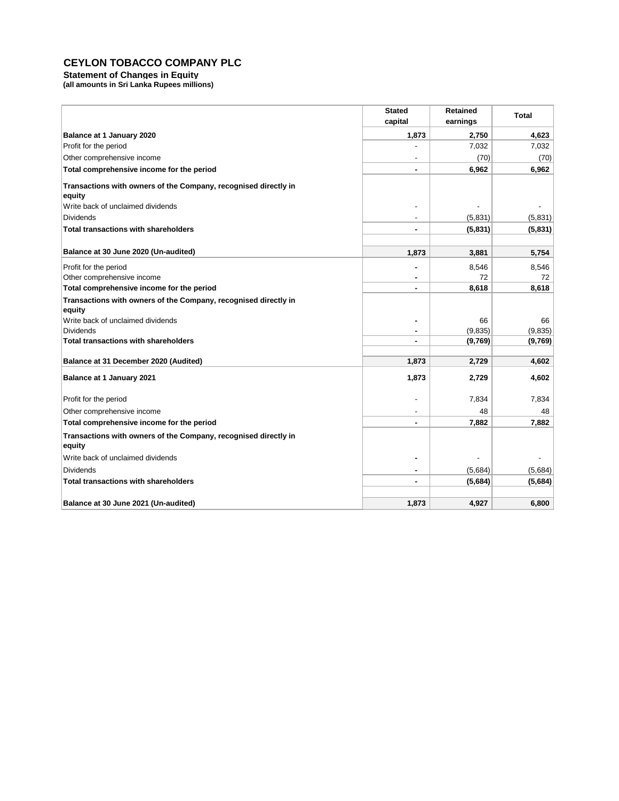#### **Statement of Changes in Equity**

**(all amounts in Sri Lanka Rupees millions)**

|                                                                           | <b>Stated</b><br>capital | <b>Retained</b><br>earnings | Total   |
|---------------------------------------------------------------------------|--------------------------|-----------------------------|---------|
| Balance at 1 January 2020                                                 | 1,873                    | 2,750                       | 4,623   |
| Profit for the period                                                     |                          | 7,032                       | 7,032   |
| Other comprehensive income                                                |                          | (70)                        | (70)    |
| Total comprehensive income for the period                                 |                          | 6,962                       | 6,962   |
| Transactions with owners of the Company, recognised directly in<br>equity |                          |                             |         |
| Write back of unclaimed dividends                                         |                          |                             |         |
| <b>Dividends</b>                                                          |                          | (5,831)                     | (5,831) |
| <b>Total transactions with shareholders</b>                               |                          | (5,831)                     | (5,831) |
| Balance at 30 June 2020 (Un-audited)                                      | 1,873                    | 3,881                       | 5,754   |
| Profit for the period                                                     |                          | 8,546                       | 8,546   |
| Other comprehensive income                                                |                          | 72                          | 72      |
| Total comprehensive income for the period                                 |                          | 8,618                       | 8,618   |
| Transactions with owners of the Company, recognised directly in           |                          |                             |         |
| equity                                                                    |                          |                             |         |
| Write back of unclaimed dividends                                         | ٠                        | 66                          | 66      |
| <b>Dividends</b>                                                          |                          | (9,835)                     | (9,835) |
| <b>Total transactions with shareholders</b>                               |                          | (9,769)                     | (9,769) |
| Balance at 31 December 2020 (Audited)                                     | 1,873                    | 2,729                       | 4,602   |
| Balance at 1 January 2021                                                 | 1,873                    | 2,729                       | 4,602   |
| Profit for the period                                                     |                          | 7,834                       | 7,834   |
| Other comprehensive income                                                |                          | 48                          | 48      |
| Total comprehensive income for the period                                 |                          | 7,882                       | 7,882   |
| Transactions with owners of the Company, recognised directly in<br>equity |                          |                             |         |
| Write back of unclaimed dividends                                         | ٠                        |                             |         |
| <b>Dividends</b>                                                          |                          | (5,684)                     | (5,684) |
| <b>Total transactions with shareholders</b>                               |                          | (5,684)                     | (5,684) |
| Balance at 30 June 2021 (Un-audited)                                      | 1,873                    | 4,927                       | 6,800   |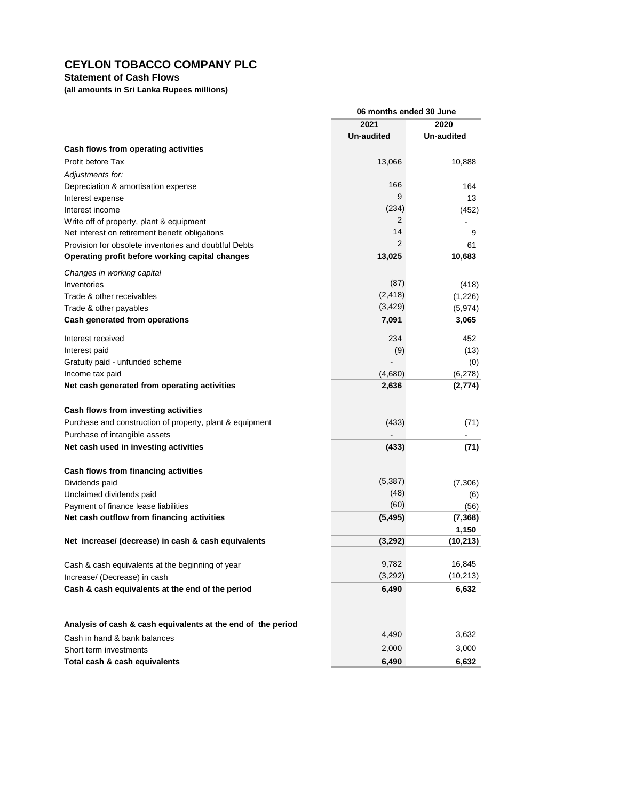## **Statement of Cash Flows**

**(all amounts in Sri Lanka Rupees millions)**

|                                                              | 06 months ended 30 June |                |
|--------------------------------------------------------------|-------------------------|----------------|
|                                                              | 2021                    | 2020           |
|                                                              | <b>Un-audited</b>       | Un-audited     |
| Cash flows from operating activities                         |                         |                |
| Profit before Tax                                            | 13,066                  | 10,888         |
| Adjustments for:                                             |                         |                |
| Depreciation & amortisation expense                          | 166                     | 164            |
| Interest expense                                             | 9                       | 13             |
| Interest income                                              | (234)                   | (452)          |
| Write off of property, plant & equipment                     | 2                       |                |
| Net interest on retirement benefit obligations               | 14                      | 9              |
| Provision for obsolete inventories and doubtful Debts        | $\overline{2}$          | 61             |
| Operating profit before working capital changes              | 13,025                  | 10,683         |
| Changes in working capital                                   |                         |                |
| Inventories                                                  | (87)                    | (418)          |
| Trade & other receivables                                    | (2, 418)                | (1,226)        |
| Trade & other payables                                       | (3, 429)                | (5, 974)       |
| Cash generated from operations                               | 7,091                   | 3,065          |
|                                                              |                         |                |
| Interest received                                            | 234                     | 452            |
| Interest paid                                                | (9)                     | (13)           |
| Gratuity paid - unfunded scheme<br>Income tax paid           | (4,680)                 | (0)<br>(6,278) |
| Net cash generated from operating activities                 | 2,636                   | (2,774)        |
|                                                              |                         |                |
| Cash flows from investing activities                         |                         |                |
| Purchase and construction of property, plant & equipment     | (433)                   | (71)           |
| Purchase of intangible assets                                |                         |                |
| Net cash used in investing activities                        | (433)                   | (71)           |
|                                                              |                         |                |
| Cash flows from financing activities                         |                         |                |
| Dividends paid                                               | (5, 387)                | (7,306)        |
| Unclaimed dividends paid                                     | (48)                    | (6)            |
| Payment of finance lease liabilities                         | (60)                    | (56)           |
| Net cash outflow from financing activities                   | (5, 495)                | (7, 368)       |
|                                                              |                         | 1,150          |
| Net increase/ (decrease) in cash & cash equivalents          | (3,292)                 | (10, 213)      |
|                                                              |                         |                |
| Cash & cash equivalents at the beginning of year             | 9,782                   | 16,845         |
| Increase/ (Decrease) in cash                                 | (3,292)                 | (10, 213)      |
| Cash & cash equivalents at the end of the period             | 6,490                   | 6,632          |
|                                                              |                         |                |
|                                                              |                         |                |
| Analysis of cash & cash equivalents at the end of the period |                         |                |
| Cash in hand & bank balances                                 | 4,490                   | 3,632          |
| Short term investments                                       | 2,000                   | 3,000          |
| Total cash & cash equivalents                                | 6,490                   | 6,632          |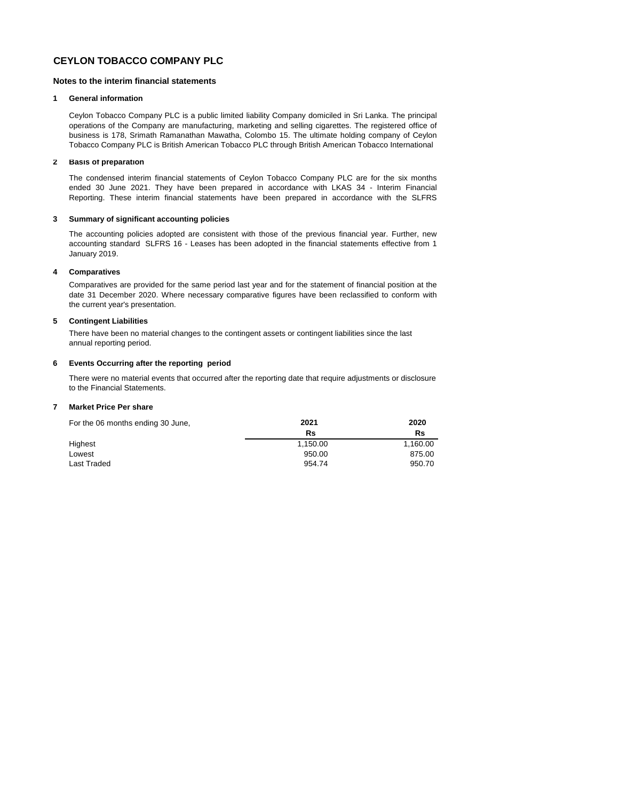#### **Notes to the interim financial statements**

#### **1 General information**

Ceylon Tobacco Company PLC is a public limited liability Company domiciled in Sri Lanka. The principal operations of the Company are manufacturing, marketing and selling cigarettes. The registered office of business is 178, Srimath Ramanathan Mawatha, Colombo 15. The ultimate holding company of Ceylon Tobacco Company PLC is British American Tobacco PLC through British American Tobacco International

#### **2 Basis of preparation**

The condensed interim financial statements of Ceylon Tobacco Company PLC are for the six months ended 30 June 2021. They have been prepared in accordance with LKAS 34 - Interim Financial Reporting. These interim financial statements have been prepared in accordance with the SLFRS

#### **3 Summary of significant accounting policies**

The accounting policies adopted are consistent with those of the previous financial year. Further, new accounting standard SLFRS 16 - Leases has been adopted in the financial statements effective from 1 January 2019.

#### **4 Comparatives**

Comparatives are provided for the same period last year and for the statement of financial position at the date 31 December 2020. Where necessary comparative figures have been reclassified to conform with the current year's presentation.

#### **5 Contingent Liabilities**

There have been no material changes to the contingent assets or contingent liabilities since the last annual reporting period.

#### **6 Events Occurring after the reporting period**

There were no material events that occurred after the reporting date that require adjustments or disclosure to the Financial Statements.

#### **7 Market Price Per share**

| For the 06 months ending 30 June, | 2021     | 2020     |
|-----------------------------------|----------|----------|
|                                   | Rs       | Rs       |
| Highest                           | 1.150.00 | 1.160.00 |
| Lowest                            | 950.00   | 875.00   |
| Last Traded                       | 954.74   | 950.70   |